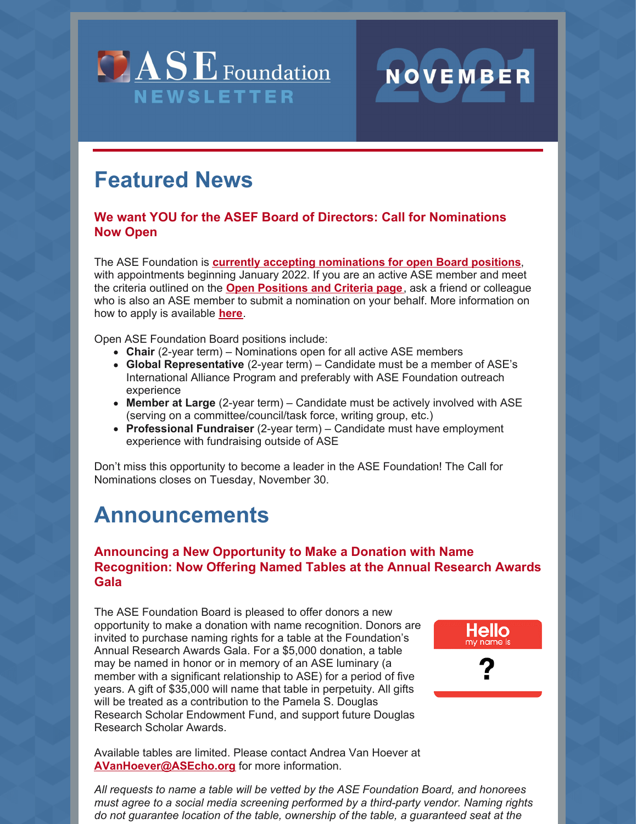



#### **We want YOU for the ASEF Board of Directors: Call for Nominations Now Open**

The ASE Foundation is **currently accepting [nominations](https://www.asecho.org/officersandboardnominations/) for open Board positions**, with appointments beginning January 2022. If you are an active ASE member and meet the criteria outlined on the **Open [Positions](https://www.asecho.org/officersandboardnominations/open-positions-and-criteria/) and Criteria page**, ask a friend or colleague who is also an ASE member to submit a nomination on your behalf. More information on how to apply is available **[here](https://www.asecho.org/officersandboardnominations/)**.

NOVEMBER

Hello ny name is

Open ASE Foundation Board positions include:

- **Chair** (2-year term) Nominations open for all active ASE members
- **Global Representative** (2-year term) Candidate must be a member of ASE's International Alliance Program and preferably with ASE Foundation outreach experience
- **Member at Large** (2-year term) Candidate must be actively involved with ASE (serving on a committee/council/task force, writing group, etc.)
- **Professional Fundraiser** (2-year term) Candidate must have employment experience with fundraising outside of ASE

Don't miss this opportunity to become a leader in the ASE Foundation! The Call for Nominations closes on Tuesday, November 30.

# **Announcements**

## **Announcing a New Opportunity to Make a Donation with Name Recognition: Now Offering Named Tables at the Annual Research Awards Gala**

The ASE Foundation Board is pleased to offer donors a new opportunity to make a donation with name recognition. Donors are invited to purchase naming rights for a table at the Foundation's Annual Research Awards Gala. For a \$5,000 donation, a table may be named in honor or in memory of an ASE luminary (a member with a significant relationship to ASE) for a period of five years. A gift of \$35,000 will name that table in perpetuity. All gifts will be treated as a contribution to the Pamela S. Douglas Research Scholar Endowment Fund, and support future Douglas Research Scholar Awards.

Available tables are limited. Please contact Andrea Van Hoever at **[AVanHoever@ASEcho.org](mailto:AVanHoever@ASEcho.org)** for more information.

*All requests to name a table will be vetted by the ASE Foundation Board, and honorees must agree to a social media screening performed by a third-party vendor. Naming rights do not guarantee location of the table, ownership of the table, a guaranteed seat at the*